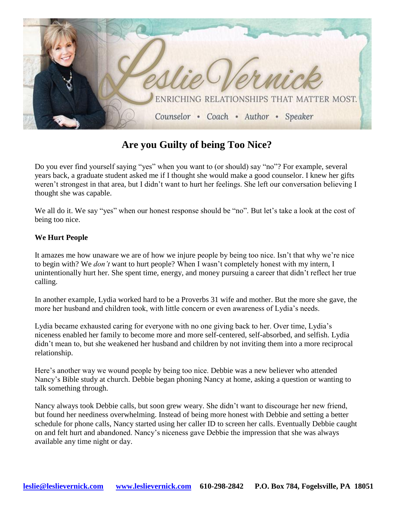

## **Are you Guilty of being Too Nice?**

Do you ever find yourself saying "yes" when you want to (or should) say "no"? For example, several years back, a graduate student asked me if I thought she would make a good counselor. I knew her gifts weren't strongest in that area, but I didn't want to hurt her feelings. She left our conversation believing I thought she was capable.

We all do it. We say "yes" when our honest response should be "no". But let's take a look at the cost of being too nice.

## **We Hurt People**

It amazes me how unaware we are of how we injure people by being too nice. Isn't that why we're nice to begin with? We *don't* want to hurt people? When I wasn't completely honest with my intern, I unintentionally hurt her. She spent time, energy, and money pursuing a career that didn't reflect her true calling.

In another example, Lydia worked hard to be a Proverbs 31 wife and mother. But the more she gave, the more her husband and children took, with little concern or even awareness of Lydia's needs.

Lydia became exhausted caring for everyone with no one giving back to her. Over time, Lydia's niceness enabled her family to become more and more self-centered, self-absorbed, and selfish. Lydia didn't mean to, but she weakened her husband and children by not inviting them into a more reciprocal relationship.

Here's another way we wound people by being too nice. Debbie was a new believer who attended Nancy's Bible study at church. Debbie began phoning Nancy at home, asking a question or wanting to talk something through.

Nancy always took Debbie calls, but soon grew weary. She didn't want to discourage her new friend, but found her neediness overwhelming. Instead of being more honest with Debbie and setting a better schedule for phone calls, Nancy started using her caller ID to screen her calls. Eventually Debbie caught on and felt hurt and abandoned. Nancy's niceness gave Debbie the impression that she was always available any time night or day.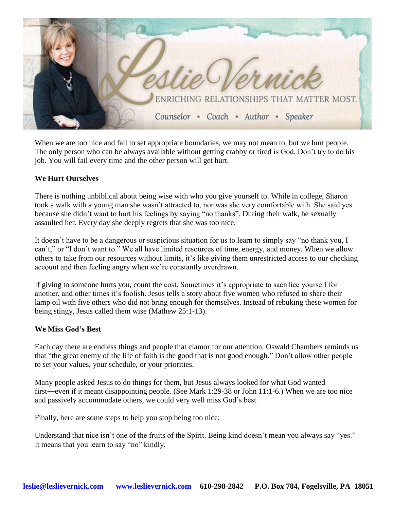

When we are too nice and fail to set appropriate boundaries, we may not mean to, but we hurt people. The only person who can be always available without getting crabby or tired is God. Don't try to do his job. You will fail every time and the other person will get hurt.

## **We Hurt Ourselves**

There is nothing unbiblical about being wise with who you give yourself to. While in college, Sharon took a walk with a young man she wasn't attracted to, nor was she very comfortable with. She said yes because she didn't want to hurt his feelings by saying "no thanks". During their walk, he sexually assaulted her. Every day she deeply regrets that she was too nice.

It doesn't have to be a dangerous or suspicious situation for us to learn to simply say "no thank you, I can't," or "I don't want to." We all have limited resources of time, energy, and money. When we allow others to take from our resources without limits, it's like giving them unrestricted access to our checking account and then feeling angry when we're constantly overdrawn.

If giving to someone hurts you, count the cost. Sometimes it's appropriate to sacrifice yourself for another, and other times it's foolish. Jesus tells a story about five women who refused to share their lamp oil with five others who did not bring enough for themselves. Instead of rebuking these women for being stingy, Jesus called them wise (Mathew 25:1-13).

## **We Miss God's Best**

Each day there are endless things and people that clamor for our attention. Oswald Chambers reminds us that "the great enemy of the life of faith is the good that is not good enough." Don't allow other people to set your values, your schedule, or your priorities.

Many people asked Jesus to do things for them, but Jesus always looked for what God wanted first―even if it meant disappointing people. (See Mark 1:29-38 or John 11:1-6.) When we are too nice and passively accommodate others, we could very well miss God's best.

Finally, here are some steps to help you stop being too nice:

Understand that nice isn't one of the fruits of the Spirit. Being kind doesn't mean you always say "yes." It means that you learn to say "no" kindly.